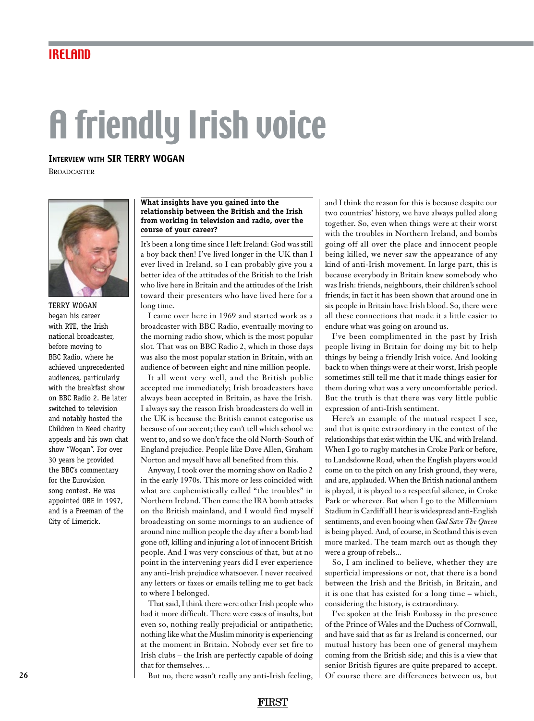# A friendly Irish voice

# **Interview with SIR TERRY WOGAN**

**BROADCASTER** 



TERRY WOGAN began his career with RTE, the Irish national broadcaster, before moving to BBC Radio, where he achieved unprecedented audiences, particularly with the breakfast show on BBC Radio 2. He later switched to television and notably hosted the Children in Need charity appeals and his own chat show "Wogan". For over 30 years he provided the BBC's commentary for the Eurovision song contest. He was appointed OBE in 1997, and is a Freeman of the City of Limerick.

#### **What insights have you gained into the relationship between the British and the Irish from working in television and radio, over the course of your career?**

It's been a long time since I left Ireland: God was still a boy back then! I've lived longer in the UK than I ever lived in Ireland, so I can probably give you a better idea of the attitudes of the British to the Irish who live here in Britain and the attitudes of the Irish toward their presenters who have lived here for a long time.

I came over here in 1969 and started work as a broadcaster with BBC Radio, eventually moving to the morning radio show, which is the most popular slot. That was on BBC Radio 2, which in those days was also the most popular station in Britain, with an audience of between eight and nine million people.

It all went very well, and the British public accepted me immediately; Irish broadcasters have always been accepted in Britain, as have the Irish. I always say the reason Irish broadcasters do well in the UK is because the British cannot categorise us because of our accent; they can't tell which school we went to, and so we don't face the old North-South of England prejudice. People like Dave Allen, Graham Norton and myself have all benefited from this.

Anyway, I took over the morning show on Radio 2 in the early 1970s. This more or less coincided with what are euphemistically called "the troubles" in Northern Ireland. Then came the IRA bomb attacks on the British mainland, and I would find myself broadcasting on some mornings to an audience of around nine million people the day after a bomb had gone off, killing and injuring a lot of innocent British people. And I was very conscious of that, but at no point in the intervening years did I ever experience any anti-Irish prejudice whatsoever. I never received any letters or faxes or emails telling me to get back to where I belonged.

That said, I think there were other Irish people who had it more difficult. There were cases of insults, but even so, nothing really prejudicial or antipathetic; nothing like what the Muslim minority is experiencing at the moment in Britain. Nobody ever set fire to Irish clubs – the Irish are perfectly capable of doing that for themselves…

But no, there wasn't really any anti-Irish feeling,

and I think the reason for this is because despite our two countries' history, we have always pulled along together. So, even when things were at their worst with the troubles in Northern Ireland, and bombs going off all over the place and innocent people being killed, we never saw the appearance of any kind of anti-Irish movement. In large part, this is because everybody in Britain knew somebody who was Irish: friends, neighbours, their children's school friends; in fact it has been shown that around one in six people in Britain have Irish blood. So, there were all these connections that made it a little easier to endure what was going on around us.

I've been complimented in the past by Irish people living in Britain for doing my bit to help things by being a friendly Irish voice. And looking back to when things were at their worst, Irish people sometimes still tell me that it made things easier for them during what was a very uncomfortable period. But the truth is that there was very little public expression of anti-Irish sentiment.

Here's an example of the mutual respect I see, and that is quite extraordinary in the context of the relationships that exist within the UK, and with Ireland. When I go to rugby matches in Croke Park or before, to Landsdowne Road, when the English players would come on to the pitch on any Irish ground, they were, and are, applauded. When the British national anthem is played, it is played to a respectful silence, in Croke Park or wherever. But when I go to the Millennium Stadium in Cardiff all I hear is widespread anti-English sentiments, and even booing when *God Save The Queen* is being played. And, of course, in Scotland this is even more marked. The team march out as though they were a group of rebels...

So, I am inclined to believe, whether they are superficial impressions or not, that there is a bond between the Irish and the British, in Britain, and it is one that has existed for a long time – which, considering the history, is extraordinary.

I've spoken at the Irish Embassy in the presence of the Prince of Wales and the Duchess of Cornwall, and have said that as far as Ireland is concerned, our mutual history has been one of general mayhem coming from the British side; and this is a view that senior British figures are quite prepared to accept. Of course there are differences between us, but